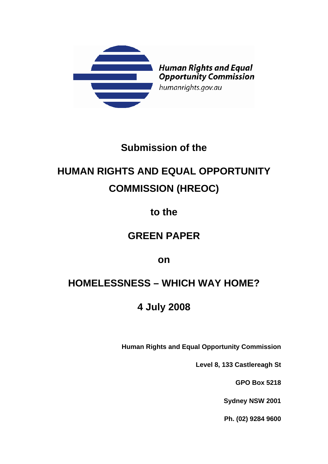

# **Submission of the**

# **HUMAN RIGHTS AND EQUAL OPPORTUNITY COMMISSION (HREOC)**

## **to the**

# **GREEN PAPER**

## **on**

# **HOMELESSNESS – WHICH WAY HOME?**

# **4 July 2008**

**Human Rights and Equal Opportunity Commission** 

**Level 8, 133 Castlereagh St** 

**GPO Box 5218** 

**Sydney NSW 2001** 

**Ph. (02) 9284 9600**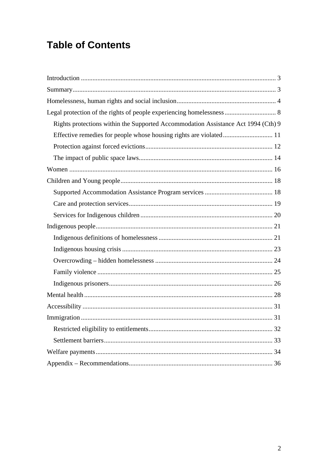# **Table of Contents**

| Rights protections within the Supported Accommodation Assistance Act 1994 (Cth) 9 |
|-----------------------------------------------------------------------------------|
|                                                                                   |
|                                                                                   |
|                                                                                   |
|                                                                                   |
|                                                                                   |
|                                                                                   |
|                                                                                   |
|                                                                                   |
|                                                                                   |
|                                                                                   |
|                                                                                   |
|                                                                                   |
|                                                                                   |
|                                                                                   |
|                                                                                   |
|                                                                                   |
|                                                                                   |
|                                                                                   |
|                                                                                   |
|                                                                                   |
|                                                                                   |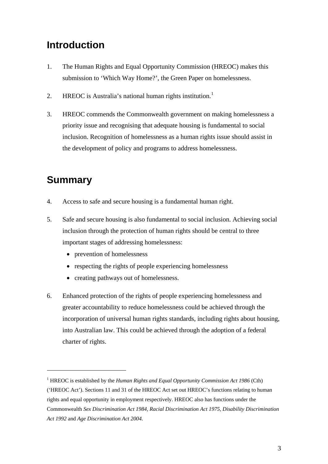## <span id="page-2-0"></span>**Introduction**

- 1. The Human Rights and Equal Opportunity Commission (HREOC) makes this submission to 'Which Way Home?', the Green Paper on homelessness.
- 2. HREOC is Australia's national human rights institution.<sup>[1](#page-2-1)</sup>
- 3. HREOC commends the Commonwealth government on making homelessness a priority issue and recognising that adequate housing is fundamental to social inclusion. Recognition of homelessness as a human rights issue should assist in the development of policy and programs to address homelessness.

## **Summary**

- 4. Access to safe and secure housing is a fundamental human right.
- 5. Safe and secure housing is also fundamental to social inclusion. Achieving social inclusion through the protection of human rights should be central to three important stages of addressing homelessness:
	- prevention of homelessness
	- respecting the rights of people experiencing homelessness
	- creating pathways out of homelessness.
- 6. Enhanced protection of the rights of people experiencing homelessness and greater accountability to reduce homelessness could be achieved through the incorporation of universal human rights standards, including rights about housing, into Australian law. This could be achieved through the adoption of a federal charter of rights.

<span id="page-2-1"></span><sup>&</sup>lt;sup>1</sup> HREOC is established by the *Human Rights and Equal Opportunity Commission Act 1986* (Cth) ('HREOC Act'). Sections 11 and 31 of the HREOC Act set out HREOC's functions relating to human rights and equal opportunity in employment respectively. HREOC also has functions under the Commonwealth *Sex Discrimination Act 1984, Racial Discrimination Act 1975, Disability Discrimination Act 1992* and *Age Discrimination Act 2004.*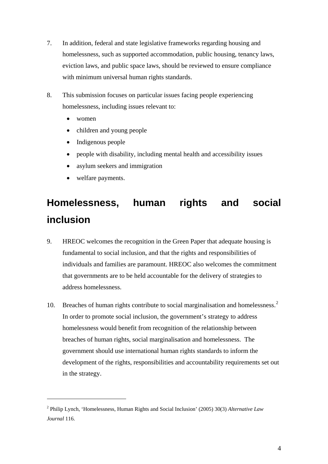- <span id="page-3-0"></span>7. In addition, federal and state legislative frameworks regarding housing and homelessness, such as supported accommodation, public housing, tenancy laws, eviction laws, and public space laws, should be reviewed to ensure compliance with minimum universal human rights standards.
- 8. This submission focuses on particular issues facing people experiencing homelessness, including issues relevant to:
	- women

<u>.</u>

- children and young people
- Indigenous people
- people with disability, including mental health and accessibility issues
- asylum seekers and immigration
- welfare payments.

# **Homelessness, human rights and social inclusion**

- 9. HREOC welcomes the recognition in the Green Paper that adequate housing is fundamental to social inclusion, and that the rights and responsibilities of individuals and families are paramount. HREOC also welcomes the commitment that governments are to be held accountable for the delivery of strategies to address homelessness.
- 10. Breaches of human rights contribute to social marginalisation and homelessness.<sup>[2](#page-3-1)</sup> In order to promote social inclusion, the government's strategy to address homelessness would benefit from recognition of the relationship between breaches of human rights, social marginalisation and homelessness. The government should use international human rights standards to inform the development of the rights, responsibilities and accountability requirements set out in the strategy.

<span id="page-3-1"></span><sup>2</sup> Philip Lynch, 'Homelessness, Human Rights and Social Inclusion' (2005) 30(3) *Alternative Law Journal* 116.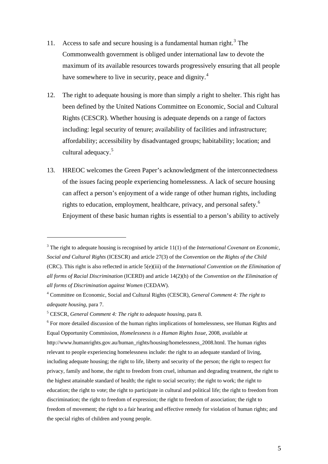- 11. Access to safe and secure housing is a fundamental human right.<sup>[3](#page-4-0)</sup> The Commonwealth government is obliged under international law to devote the maximum of its available resources towards progressively ensuring that all people have somewhere to live in security, peace and dignity.<sup>[4](#page-4-1)</sup>
- 12. The right to adequate housing is more than simply a right to shelter. This right has been defined by the United Nations Committee on Economic, Social and Cultural Rights (CESCR). Whether housing is adequate depends on a range of factors including: legal security of tenure; availability of facilities and infrastructure; affordability; accessibility by disadvantaged groups; habitability; location; and cultural adequacy.<sup>[5](#page-4-2)</sup>
- 13. HREOC welcomes the Green Paper's acknowledgment of the interconnectedness of the issues facing people experiencing homelessness. A lack of secure housing can affect a person's enjoyment of a wide range of other human rights, including rights to education, employment, healthcare, privacy, and personal safety.<sup>[6](#page-4-3)</sup> Enjoyment of these basic human rights is essential to a person's ability to actively

<span id="page-4-2"></span>5 CESCR, *General Comment 4: The right to adequate housing*, para 8.

1

<span id="page-4-3"></span> $6$  For more detailed discussion of the human rights implications of homelessness, see Human Rights and Equal Opportunity Commission, *Homelessness is a Human Rights Issue,* 2008, available at http://www.humanrights.gov.au/human\_rights/housing/homelessness\_2008.html. The human rights relevant to people experiencing homelessness include: the right to an adequate standard of living, including adequate housing; the right to life, liberty and security of the person; the right to respect for privacy, family and home, the right to freedom from cruel, inhuman and degrading treatment, the right to the highest attainable standard of health; the right to social security; the right to work; the right to education; the right to vote; the right to participate in cultural and political life; the right to freedom from discrimination; the right to freedom of expression; the right to freedom of association; the right to freedom of movement; the right to a fair hearing and effective remedy for violation of human rights; and the special rights of children and young people.

<span id="page-4-0"></span><sup>&</sup>lt;sup>3</sup> The right to adequate housing is recognised by article 11(1) of the *International Covenant on Economic*, *Social and Cultural Rights* (ICESCR) and article 27(3) of the *Convention on the Rights of the Child* (CRC). This right is also reflected in article 5(e)(iii) of the *International Convention on the Elimination of all forms of Racial Discrimination* (ICERD) and article 14(2)(h) of the *Convention on the Elimination of all forms of Discrimination against Women* (CEDAW).

<span id="page-4-1"></span><sup>4</sup> Committee on Economic, Social and Cultural Rights (CESCR), *General Comment 4: The right to adequate housing*, para 7.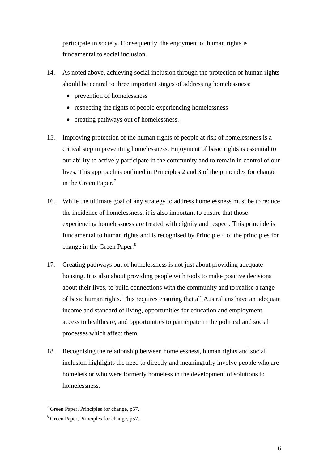participate in society. Consequently, the enjoyment of human rights is fundamental to social inclusion.

- 14. As noted above, achieving social inclusion through the protection of human rights should be central to three important stages of addressing homelessness:
	- prevention of homelessness
	- respecting the rights of people experiencing homelessness
	- creating pathways out of homelessness.
- 15. Improving protection of the human rights of people at risk of homelessness is a critical step in preventing homelessness. Enjoyment of basic rights is essential to our ability to actively participate in the community and to remain in control of our lives. This approach is outlined in Principles 2 and 3 of the principles for change in the Green Paper.<sup>[7](#page-5-0)</sup>
- 16. While the ultimate goal of any strategy to address homelessness must be to reduce the incidence of homelessness, it is also important to ensure that those experiencing homelessness are treated with dignity and respect. This principle is fundamental to human rights and is recognised by Principle 4 of the principles for change in the Green Paper.<sup>[8](#page-5-1)</sup>
- 17. Creating pathways out of homelessness is not just about providing adequate housing. It is also about providing people with tools to make positive decisions about their lives, to build connections with the community and to realise a range of basic human rights. This requires ensuring that all Australians have an adequate income and standard of living, opportunities for education and employment, access to healthcare, and opportunities to participate in the political and social processes which affect them.
- 18. Recognising the relationship between homelessness, human rights and social inclusion highlights the need to directly and meaningfully involve people who are homeless or who were formerly homeless in the development of solutions to homelessness.

<span id="page-5-0"></span><sup>&</sup>lt;sup>7</sup> Green Paper, Principles for change, p57.

<span id="page-5-1"></span><sup>&</sup>lt;sup>8</sup> Green Paper, Principles for change, p57.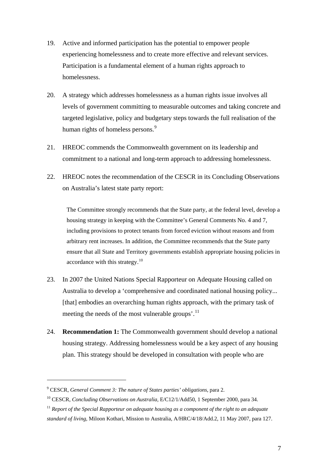- 19. Active and informed participation has the potential to empower people experiencing homelessness and to create more effective and relevant services. Participation is a fundamental element of a human rights approach to homelessness.
- 20. A strategy which addresses homelessness as a human rights issue involves all levels of government committing to measurable outcomes and taking concrete and targeted legislative, policy and budgetary steps towards the full realisation of the human rights of homeless persons.<sup>[9](#page-6-0)</sup>
- 21. HREOC commends the Commonwealth government on its leadership and commitment to a national and long-term approach to addressing homelessness.
- 22. HREOC notes the recommendation of the CESCR in its Concluding Observations on Australia's latest state party report:

The Committee strongly recommends that the State party, at the federal level, develop a housing strategy in keeping with the Committee's General Comments No. 4 and 7, including provisions to protect tenants from forced eviction without reasons and from arbitrary rent increases. In addition, the Committee recommends that the State party ensure that all State and Territory governments establish appropriate housing policies in accordance with this strategy. $^{10}$  $^{10}$  $^{10}$ 

- 23. In 2007 the United Nations Special Rapporteur on Adequate Housing called on Australia to develop a 'comprehensive and coordinated national housing policy... [that] embodies an overarching human rights approach, with the primary task of meeting the needs of the most vulnerable groups'.<sup>[11](#page-6-2)</sup>
- 24. **Recommendation 1:** The Commonwealth government should develop a national housing strategy. Addressing homelessness would be a key aspect of any housing plan. This strategy should be developed in consultation with people who are

<span id="page-6-0"></span><sup>9</sup> CESCR, *General Comment 3: The nature of States parties' obligations*, para 2.

<span id="page-6-1"></span><sup>&</sup>lt;sup>10</sup> CESCR, *Concluding Observations on Australia*, E/C12/1/Add50, 1 September 2000, para 34.

<span id="page-6-2"></span> $11$  *Report of the Special Rapporteur on adequate housing as a component of the right to an adequate standard of living*, Miloon Kothari, Mission to Australia, A/HRC/4/18/Add.2, 11 May 2007, para 127.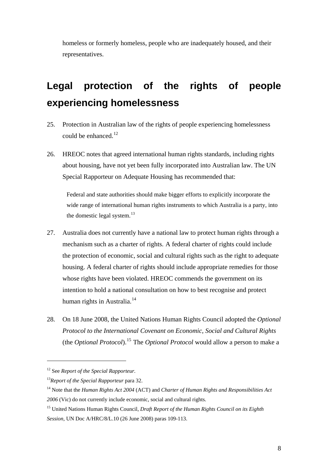<span id="page-7-0"></span>homeless or formerly homeless, people who are inadequately housed, and their representatives.

# **Legal protection of the rights of people experiencing homelessness**

- 25. Protection in Australian law of the rights of people experiencing homelessness could be enhanced.<sup>[12](#page-7-1)</sup>
- 26. HREOC notes that agreed international human rights standards, including rights about housing, have not yet been fully incorporated into Australian law. The UN Special Rapporteur on Adequate Housing has recommended that:

Federal and state authorities should make bigger efforts to explicitly incorporate the wide range of international human rights instruments to which Australia is a party, into the domestic legal system. $^{13}$  $^{13}$  $^{13}$ 

- 27. Australia does not currently have a national law to protect human rights through a mechanism such as a charter of rights. A federal charter of rights could include the protection of economic, social and cultural rights such as the right to adequate housing. A federal charter of rights should include appropriate remedies for those whose rights have been violated. HREOC commends the government on its intention to hold a national consultation on how to best recognise and protect human rights in Australia.<sup>[14](#page-7-3)</sup>
- 28. On 18 June 2008, the United Nations Human Rights Council adopted the *Optional Protocol to the International Covenant on Economic, Social and Cultural Rights* (the *Optional Protocol*).[15](#page-7-4) The *Optional Protocol* would allow a person to make a

<span id="page-7-1"></span><sup>12</sup> See *Report of the Special Rapporteur.*

<span id="page-7-2"></span><sup>13</sup>*Report of the Special Rapporteur* para 32.

<span id="page-7-3"></span><sup>14</sup> Note that the *Human Rights Act 2004* (ACT) and *Charter of Human Rights and Responsibilities Act 2006* (Vic) do not currently include economic, social and cultural rights.

<span id="page-7-4"></span><sup>15</sup> United Nations Human Rights Council, *Draft Report of the Human Rights Council on its Eighth Session*, UN Doc A/HRC/8/L.10 (26 June 2008) paras 109-113.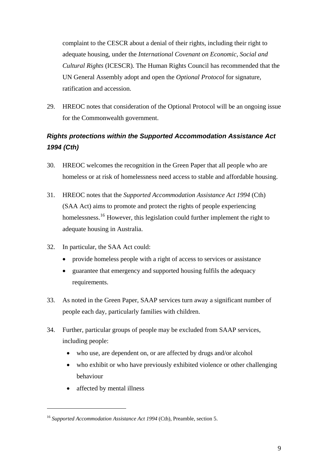<span id="page-8-0"></span>complaint to the CESCR about a denial of their rights, including their right to adequate housing, under the *International Covenant on Economic, Social and Cultural Rights* (ICESCR). The Human Rights Council has recommended that the UN General Assembly adopt and open the *Optional Protocol* for signature, ratification and accession.

29. HREOC notes that consideration of the Optional Protocol will be an ongoing issue for the Commonwealth government.

### *Rights protections within the Supported Accommodation Assistance Act 1994 (Cth)*

- 30. HREOC welcomes the recognition in the Green Paper that all people who are homeless or at risk of homelessness need access to stable and affordable housing.
- 31. HREOC notes that the *Supported Accommodation Assistance Act 1994* (Cth) (SAA Act) aims to promote and protect the rights of people experiencing homelessness.<sup>[16](#page-8-1)</sup> However, this legislation could further implement the right to adequate housing in Australia.
- 32. In particular, the SAA Act could:
	- provide homeless people with a right of access to services or assistance
	- guarantee that emergency and supported housing fulfils the adequacy requirements.
- 33. As noted in the Green Paper, SAAP services turn away a significant number of people each day, particularly families with children.
- 34. Further, particular groups of people may be excluded from SAAP services, including people:
	- who use, are dependent on, or are affected by drugs and/or alcohol
	- who exhibit or who have previously exhibited violence or other challenging behaviour
	- affected by mental illness

<span id="page-8-1"></span><sup>&</sup>lt;sup>16</sup> Supported Accommodation Assistance Act 1994 (Cth), Preamble, section 5.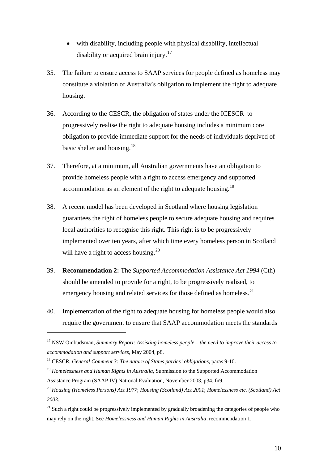- with disability, including people with physical disability, intellectual disability or acquired brain injury.<sup>[17](#page-9-0)</sup>
- 35. The failure to ensure access to SAAP services for people defined as homeless may constitute a violation of Australia's obligation to implement the right to adequate housing.
- 36. According to the CESCR, the obligation of states under the ICESCR to progressively realise the right to adequate housing includes a minimum core obligation to provide immediate support for the needs of individuals deprived of basic shelter and housing.<sup>[18](#page-9-1)</sup>
- 37. Therefore, at a minimum, all Australian governments have an obligation to provide homeless people with a right to access emergency and supported accommodation as an element of the right to adequate housing.<sup>[19](#page-9-2)</sup>
- 38. A recent model has been developed in Scotland where housing legislation guarantees the right of homeless people to secure adequate housing and requires local authorities to recognise this right. This right is to be progressively implemented over ten years, after which time every homeless person in Scotland will have a right to access housing.<sup>[20](#page-9-3)</sup>
- 39. **Recommendation 2:** The *Supported Accommodation Assistance Act 1994* (Cth) should be amended to provide for a right, to be progressively realised, to emergency housing and related services for those defined as homeless.<sup>[21](#page-9-4)</sup>
- 40. Implementation of the right to adequate housing for homeless people would also require the government to ensure that SAAP accommodation meets the standards

<span id="page-9-0"></span><sup>17</sup> NSW Ombudsman, *Summary Report: Assisting homeless people – the need to improve their access to accommodation and support services*, May 2004, p8.

<span id="page-9-1"></span><sup>18</sup> CESCR, *General Comment 3: The nature of States parties' obligations*, paras 9-10.

<span id="page-9-2"></span><sup>&</sup>lt;sup>19</sup> Homelessness and Human Rights in Australia, Submission to the Supported Accommodation Assistance Program (SAAP IV) National Evaluation, November 2003, p34, fn9.

<span id="page-9-3"></span><sup>20</sup> *Housing (Homeless Persons) Act 1977*; *Housing (Scotland) Act 2001*; *Homelessness etc. (Scotland) Act 2003*.

<span id="page-9-4"></span> $21$  Such a right could be progressively implemented by gradually broadening the categories of people who may rely on the right. See *Homelessness and Human Rights in Australia*, recommendation 1.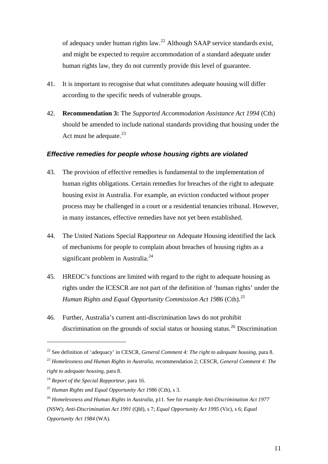<span id="page-10-0"></span>of adequacy under human rights law.22 Although SAAP service standards exist, and might be expected to require accommodation of a standard adequate under human rights law, they do not currently provide this level of guarantee.

- 41. It is important to recognise that what constitutes adequate housing will differ according to the specific needs of vulnerable groups.
- 42. **Recommendation 3:** The *Supported Accommodation Assistance Act 1994* (Cth) should be amended to include national standards providing that housing under the Act must be adequate. $^{23}$  $^{23}$  $^{23}$

#### *Effective remedies for people whose housing rights are violated*

- 43. The provision of effective remedies is fundamental to the implementation of human rights obligations. Certain remedies for breaches of the right to adequate housing exist in Australia. For example, an eviction conducted without proper process may be challenged in a court or a residential tenancies tribunal. However, in many instances, effective remedies have not yet been established.
- 44. The United Nations Special Rapporteur on Adequate Housing identified the lack of mechanisms for people to complain about breaches of housing rights as a significant problem in Australia. $^{24}$  $^{24}$  $^{24}$
- 45. HREOC's functions are limited with regard to the right to adequate housing as rights under the ICESCR are not part of the definition of 'human rights' under the *Human Rights and Equal Opportunity Commission Act 1986* (Cth).<sup>[25](#page-10-3)</sup>
- 46. Further, Australia's current anti-discrimination laws do not prohibit discrimination on the grounds of social status or housing status.<sup>[26](#page-10-4)</sup> Discrimination

1

<sup>22</sup> See definition of 'adequacy' in CESCR, *General Comment 4: The right to adequate housing*, para 8.

<span id="page-10-1"></span><sup>23</sup> *Homelessness and Human Rights in Australia*, recommendation 2; CESCR, *General Comment 4: The right to adequate housing*, para 8.

<span id="page-10-2"></span><sup>24</sup> *Report of the Special Rapporteur*, para 16.

<span id="page-10-3"></span><sup>25</sup> *Human Rights and Equal Opportunity Act 1986* (Cth), s 3.

<span id="page-10-4"></span><sup>26</sup> *Homelessness and Human Rights in Australia*, p11. See for example *Anti-Discrimination Act 1977* (NSW); *Anti-Discrimination Act 1991* (Qld), s 7; *Equal Opportunity Act 1995* (Vic), s 6; *Equal Opportunity Act 1984* (WA).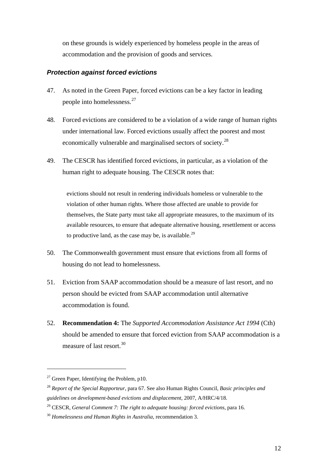<span id="page-11-0"></span>on these grounds is widely experienced by homeless people in the areas of accommodation and the provision of goods and services.

#### *Protection against forced evictions*

- 47. As noted in the Green Paper, forced evictions can be a key factor in leading people into homelessness.[27](#page-11-1)
- 48. Forced evictions are considered to be a violation of a wide range of human rights under international law. Forced evictions usually affect the poorest and most economically vulnerable and marginalised sectors of society.<sup>[28](#page-11-2)</sup>
- 49. The CESCR has identified forced evictions, in particular, as a violation of the human right to adequate housing. The CESCR notes that:

evictions should not result in rendering individuals homeless or vulnerable to the violation of other human rights. Where those affected are unable to provide for themselves, the State party must take all appropriate measures, to the maximum of its available resources, to ensure that adequate alternative housing, resettlement or access to productive land, as the case may be, is available.<sup>[29](#page-11-3)</sup>

- 50. The Commonwealth government must ensure that evictions from all forms of housing do not lead to homelessness.
- 51. Eviction from SAAP accommodation should be a measure of last resort, and no person should be evicted from SAAP accommodation until alternative accommodation is found.
- 52. **Recommendation 4:** The *Supported Accommodation Assistance Act 1994* (Cth) should be amended to ensure that forced eviction from SAAP accommodation is a measure of last resort  $30$

<span id="page-11-1"></span><sup>&</sup>lt;sup>27</sup> Green Paper, Identifying the Problem, p10.

<span id="page-11-2"></span><sup>28</sup> *Report of the Special Rapporteur*, para 67. See also Human Rights Council, *Basic principles and guidelines on development-based evictions and displacement*, 2007, A/HRC/4/18.

<span id="page-11-3"></span><sup>29</sup> CESCR, *General Comment 7: The right to adequate housing: forced evictions*, para 16.

<span id="page-11-4"></span><sup>30</sup> *Homelessness and Human Rights in Australia*, recommendation 3.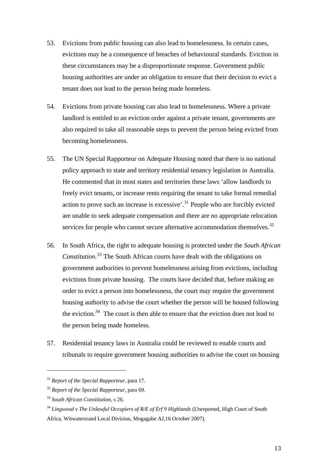- 53. Evictions from public housing can also lead to homelessness. In certain cases, evictions may be a consequence of breaches of behavioural standards. Eviction in these circumstances may be a disproportionate response. Government public housing authorities are under an obligation to ensure that their decision to evict a tenant does not lead to the person being made homeless.
- 54. Evictions from private housing can also lead to homelessness. Where a private landlord is entitled to an eviction order against a private tenant, governments are also required to take all reasonable steps to prevent the person being evicted from becoming homelessness.
- 55. The UN Special Rapporteur on Adequate Housing noted that there is no national policy approach to state and territory residential tenancy legislation in Australia. He commented that in most states and territories these laws 'allow landlords to freely evict tenants, or increase rents requiring the tenant to take formal remedial action to prove such an increase is excessive'.[31](#page-12-0) People who are forcibly evicted are unable to seek adequate compensation and there are no appropriate relocation services for people who cannot secure alternative accommodation themselves.<sup>[32](#page-12-1)</sup>
- 56. In South Africa, the right to adequate housing is protected under the *South African Constitution*. [33](#page-12-2) The South African courts have dealt with the obligations on government authorities to prevent homelessness arising from evictions, including evictions from private housing. The courts have decided that, before making an order to evict a person into homelessness, the court may require the government housing authority to advise the court whether the person will be housed following the eviction. $34$  The court is then able to ensure that the eviction does not lead to the person being made homeless.
- 57. Residential tenancy laws in Australia could be reviewed to enable courts and tribunals to require government housing authorities to advise the court on housing

<span id="page-12-0"></span><sup>31</sup> *Report of the Special Rapporteur*, para 17.

<span id="page-12-1"></span><sup>32</sup> *Report of the Special Rapporteur*, para 69.

<span id="page-12-2"></span><sup>33</sup> *South African Constitution*, s 26.

<span id="page-12-3"></span><sup>34</sup> *Lingwood v The Unlawful Occupiers of R/E of Erf 9 Highlands* (Unreported, High Court of South Africa, Witwatersrand Local Division, Mogagabe AJ,16 October 2007).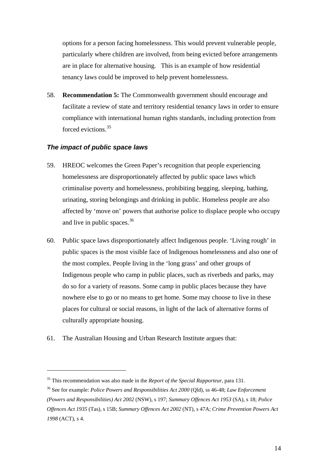<span id="page-13-0"></span>options for a person facing homelessness. This would prevent vulnerable people, particularly where children are involved, from being evicted before arrangements are in place for alternative housing. This is an example of how residential tenancy laws could be improved to help prevent homelessness.

58. **Recommendation 5:** The Commonwealth government should encourage and facilitate a review of state and territory residential tenancy laws in order to ensure compliance with international human rights standards, including protection from forced evictions<sup>[35](#page-13-1)</sup>

#### *The impact of public space laws*

- 59. HREOC welcomes the Green Paper's recognition that people experiencing homelessness are disproportionately affected by public space laws which criminalise poverty and homelessness, prohibiting begging, sleeping, bathing, urinating, storing belongings and drinking in public. Homeless people are also affected by 'move on' powers that authorise police to displace people who occupy and live in public spaces.<sup>[36](#page-13-2)</sup>
- 60. Public space laws disproportionately affect Indigenous people. 'Living rough' in public spaces is the most visible face of Indigenous homelessness and also one of the most complex. People living in the 'long grass' and other groups of Indigenous people who camp in public places, such as riverbeds and parks, may do so for a variety of reasons. Some camp in public places because they have nowhere else to go or no means to get home. Some may choose to live in these places for cultural or social reasons, in light of the lack of alternative forms of culturally appropriate housing.
- 61. The Australian Housing and Urban Research Institute argues that:

<span id="page-13-1"></span><sup>35</sup> This recommendation was also made in the *Report of the Special Rapporteur*, para 131.

<span id="page-13-2"></span><sup>36</sup> See for example: *Police Powers and Responsibilities Act 2000* (Qld), ss 46-48; *Law Enforcement (Powers and Responsibilities) Act 2002* (NSW), s 197; *Summary Offences Act 1953* (SA), s 18; *Police Offences Act 1935* (Tas), s 15B; *Summary Offences Act 2002* (NT), s 47A; *Crime Prevention Powers Act 1998* (ACT), s 4.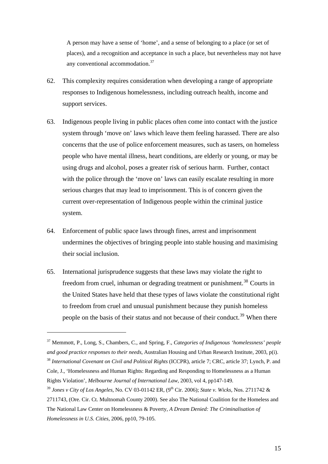A person may have a sense of 'home', and a sense of belonging to a place (or set of places), and a recognition and acceptance in such a place, but nevertheless may not have any conventional accommodation.<sup>[37](#page-14-0)</sup>

- 62. This complexity requires consideration when developing a range of appropriate responses to Indigenous homelessness, including outreach health, income and support services.
- 63. Indigenous people living in public places often come into contact with the justice system through 'move on' laws which leave them feeling harassed. There are also concerns that the use of police enforcement measures, such as tasers, on homeless people who have mental illness, heart conditions, are elderly or young, or may be using drugs and alcohol, poses a greater risk of serious harm. Further, contact with the police through the 'move on' laws can easily escalate resulting in more serious charges that may lead to imprisonment. This is of concern given the current over-representation of Indigenous people within the criminal justice system.
- 64. Enforcement of public space laws through fines, arrest and imprisonment undermines the objectives of bringing people into stable housing and maximising their social inclusion.
- 65. International jurisprudence suggests that these laws may violate the right to freedom from cruel, inhuman or degrading treatment or punishment.<sup>[38](#page-14-1)</sup> Courts in the United States have held that these types of laws violate the constitutional right to freedom from cruel and unusual punishment because they punish homeless people on the basis of their status and not because of their conduct.<sup>[39](#page-14-2)</sup> When there

<span id="page-14-0"></span><sup>37</sup> Memmott, P., Long, S., Chambers, C., and Spring, F., *Categories of Indigenous 'homelessness' people and good practice responses to their needs*, Australian Housing and Urban Research Institute, 2003, p(i).

<span id="page-14-1"></span><sup>38</sup> *International Covenant on Civil and Political Rights* (ICCPR), article 7; CRC, article 37; Lynch, P. and Cole, J., 'Homelessness and Human Rights: Regarding and Responding to Homelessness as a Human Rights Violation', *Melbourne Journal of International Law*, 2003, vol 4, pp147-149.

<span id="page-14-2"></span><sup>&</sup>lt;sup>39</sup> *Jones v City of Los Angeles*, No. CV 03-01142 ER, (9<sup>th</sup> Cir. 2006); *State v. Wicks*, Nos. 2711742 & 2711743, (Ore. Cir. Ct. Multnomah County 2000). See also The National Coalition for the Homeless and The National Law Center on Homelessness & Poverty, *A Dream Denied: The Criminalisation of Homelessness in U.S. Cities*, 2006, pp10, 79-105.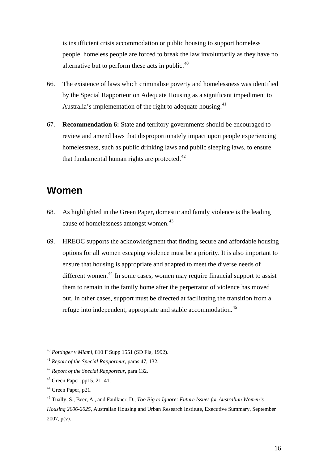<span id="page-15-0"></span>is insufficient crisis accommodation or public housing to support homeless people, homeless people are forced to break the law involuntarily as they have no alternative but to perform these acts in public.<sup>40</sup>

- 66. The existence of laws which criminalise poverty and homelessness was identified by the Special Rapporteur on Adequate Housing as a significant impediment to Australia's implementation of the right to adequate housing.<sup>[41](#page-15-1)</sup>
- 67. **Recommendation 6:** State and territory governments should be encouraged to review and amend laws that disproportionately impact upon people experiencing homelessness, such as public drinking laws and public sleeping laws, to ensure that fundamental human rights are protected. $42$

## **Women**

- 68. As highlighted in the Green Paper, domestic and family violence is the leading cause of homelessness amongst women.<sup>[43](#page-15-3)</sup>
- 69. HREOC supports the acknowledgment that finding secure and affordable housing options for all women escaping violence must be a priority. It is also important to ensure that housing is appropriate and adapted to meet the diverse needs of different women.[44](#page-15-4) In some cases, women may require financial support to assist them to remain in the family home after the perpetrator of violence has moved out. In other cases, support must be directed at facilitating the transition from a refuge into independent, appropriate and stable accommodation.<sup>[45](#page-15-5)</sup>

1

<sup>40</sup> *Pottinger v Miami*, 810 F Supp 1551 (SD Fla, 1992).

<span id="page-15-1"></span><sup>41</sup> *Report of the Special Rapporteur*, paras 47, 132.

<span id="page-15-2"></span><sup>42</sup> *Report of the Special Rapporteur*, para 132.

<span id="page-15-3"></span><sup>43</sup> Green Paper, pp15, 21, 41.

<span id="page-15-4"></span><sup>&</sup>lt;sup>44</sup> Green Paper, p21.

<span id="page-15-5"></span><sup>45</sup> Tually, S., Beer, A., and Faulkner, D., *Too Big to Ignore: Future Issues for Australian Women's Housing 2006-2025*, Australian Housing and Urban Research Institute, Executive Summary, September 2007, p(v).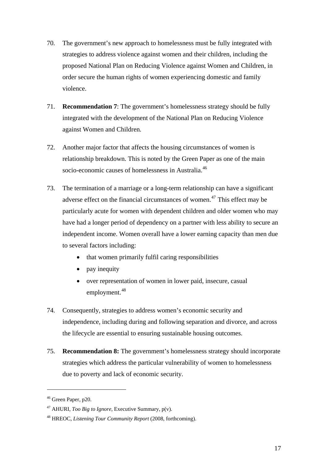- 70. The government's new approach to homelessness must be fully integrated with strategies to address violence against women and their children, including the proposed National Plan on Reducing Violence against Women and Children, in order secure the human rights of women experiencing domestic and family violence.
- 71. **Recommendation 7**: The government's homelessness strategy should be fully integrated with the development of the National Plan on Reducing Violence against Women and Children.
- 72. Another major factor that affects the housing circumstances of women is relationship breakdown. This is noted by the Green Paper as one of the main socio-economic causes of homelessness in Australia.<sup>[46](#page-16-0)</sup>
- 73. The termination of a marriage or a long-term relationship can have a significant adverse effect on the financial circumstances of women.<sup> $47$ </sup> This effect may be particularly acute for women with dependent children and older women who may have had a longer period of dependency on a partner with less ability to secure an independent income. Women overall have a lower earning capacity than men due to several factors including:
	- that women primarily fulfil caring responsibilities
	- pay inequity
	- over representation of women in lower paid, insecure, casual employment.<sup>[48](#page-16-2)</sup>
- 74. Consequently, strategies to address women's economic security and independence, including during and following separation and divorce, and across the lifecycle are essential to ensuring sustainable housing outcomes.
- 75. **Recommendation 8:** The government's homelessness strategy should incorporate strategies which address the particular vulnerability of women to homelessness due to poverty and lack of economic security.

<span id="page-16-0"></span><sup>&</sup>lt;sup>46</sup> Green Paper, p20.

<span id="page-16-1"></span><sup>47</sup> AHURI, *Too Big to Ignore*, Executive Summary, p(v).

<span id="page-16-2"></span><sup>48</sup> HREOC, *Listening Tour Community Report* (2008, forthcoming).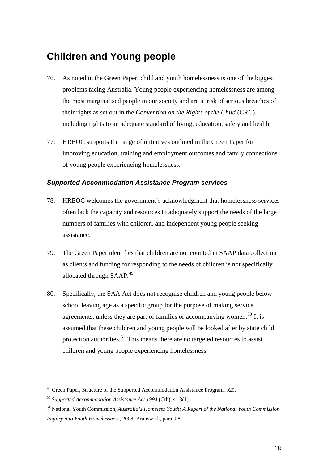## <span id="page-17-0"></span>**Children and Young people**

- 76. As noted in the Green Paper, child and youth homelessness is one of the biggest problems facing Australia. Young people experiencing homelessness are among the most marginalised people in our society and are at risk of serious breaches of their rights as set out in the *Convention on the Rights of the Child* (CRC), including rights to an adequate standard of living, education, safety and health.
- 77. HREOC supports the range of initiatives outlined in the Green Paper for improving education, training and employment outcomes and family connections of young people experiencing homelessness.

#### *Supported Accommodation Assistance Program services*

- 78. HREOC welcomes the government's acknowledgment that homelessness services often lack the capacity and resources to adequately support the needs of the large numbers of families with children, and independent young people seeking assistance.
- 79. The Green Paper identifies that children are not counted in SAAP data collection as clients and funding for responding to the needs of children is not specifically allocated through SAAP.<sup>[49](#page-17-1)</sup>
- 80. Specifically, the SAA Act does not recognise children and young people below school leaving age as a specific group for the purpose of making service agreements, unless they are part of families or accompanying women.<sup>[50](#page-17-2)</sup> It is assumed that these children and young people will be looked after by state child protection authorities.<sup>[51](#page-17-3)</sup> This means there are no targeted resources to assist children and young people experiencing homelessness.

<span id="page-17-1"></span><sup>&</sup>lt;sup>49</sup> Green Paper, Structure of the Supported Accommodation Assistance Program, p29.

<span id="page-17-2"></span><sup>50</sup> *Supported Accommodation Assistance Act 1994* (Cth), s 13(1).

<span id="page-17-3"></span><sup>51</sup> National Youth Commission, *Australia's Homeless Youth: A Report of the National Youth Commission Inquiry into Youth Homelessness*, 2008, Brunswick, para 9.8.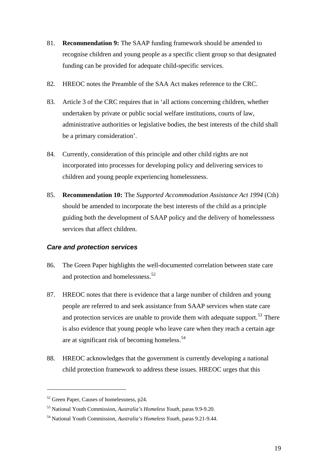- <span id="page-18-0"></span>81. **Recommendation 9:** The SAAP funding framework should be amended to recognise children and young people as a specific client group so that designated funding can be provided for adequate child-specific services.
- 82. HREOC notes the Preamble of the SAA Act makes reference to the CRC.
- 83. Article 3 of the CRC requires that in 'all actions concerning children, whether undertaken by private or public social welfare institutions, courts of law, administrative authorities or legislative bodies, the best interests of the child shall be a primary consideration'.
- 84. Currently, consideration of this principle and other child rights are not incorporated into processes for developing policy and delivering services to children and young people experiencing homelessness.
- 85. **Recommendation 10:** The *Supported Accommodation Assistance Act 1994* (Cth) should be amended to incorporate the best interests of the child as a principle guiding both the development of SAAP policy and the delivery of homelessness services that affect children.

#### *Care and protection services*

- 86. The Green Paper highlights the well-documented correlation between state care and protection and homelessness.<sup>[52](#page-18-1)</sup>
- 87. HREOC notes that there is evidence that a large number of children and young people are referred to and seek assistance from SAAP services when state care and protection services are unable to provide them with adequate support.<sup>[53](#page-18-2)</sup> There is also evidence that young people who leave care when they reach a certain age are at significant risk of becoming homeless.<sup>[54](#page-18-3)</sup>
- 88. HREOC acknowledges that the government is currently developing a national child protection framework to address these issues. HREOC urges that this

<span id="page-18-1"></span><sup>52</sup> Green Paper, Causes of homelessness, p24.

<span id="page-18-2"></span><sup>53</sup> National Youth Commission, *Australia's Homeless Youth*, paras 9.9-9.20.

<span id="page-18-3"></span><sup>54</sup> National Youth Commission, *Australia's Homeless Youth*, paras 9.21-9.44.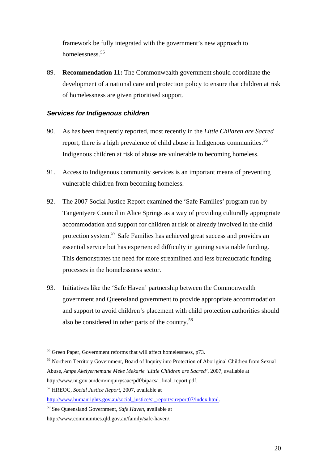<span id="page-19-0"></span>framework be fully integrated with the government's new approach to homelessness.<sup>55</sup>

89. **Recommendation 11:** The Commonwealth government should coordinate the development of a national care and protection policy to ensure that children at risk of homelessness are given prioritised support.

#### *Services for Indigenous children*

- 90. As has been frequently reported, most recently in the *Little Children are Sacred* report, there is a high prevalence of child abuse in Indigenous communities.<sup>[56](#page-19-1)</sup> Indigenous children at risk of abuse are vulnerable to becoming homeless.
- 91. Access to Indigenous community services is an important means of preventing vulnerable children from becoming homeless.
- 92. The 2007 Social Justice Report examined the 'Safe Families' program run by Tangentyere Council in Alice Springs as a way of providing culturally appropriate accommodation and support for children at risk or already involved in the child protection system.[57](#page-19-2) Safe Families has achieved great success and provides an essential service but has experienced difficulty in gaining sustainable funding. This demonstrates the need for more streamlined and less bureaucratic funding processes in the homelessness sector.
- 93. Initiatives like the 'Safe Haven' partnership between the Commonwealth government and Queensland government to provide appropriate accommodation and support to avoid children's placement with child protection authorities should also be considered in other parts of the country.[58](#page-19-3)

1

<sup>&</sup>lt;sup>55</sup> Green Paper, Government reforms that will affect homelessness, p73.

<span id="page-19-1"></span><sup>&</sup>lt;sup>56</sup> Northern Territory Government, Board of Inquiry into Protection of Aboriginal Children from Sexual Abuse, *Ampe Akelyernemane Meke Mekarle 'Little Children are Sacred'*, 2007, available at [http://www.nt.gov.au/dcm/inquirysaac/pdf/bipacsa\\_final\\_report.pdf](http://www.nt.gov.au/dcm/inquirysaac/pdf/bipacsa_final_report.pdf).

<span id="page-19-2"></span><sup>57</sup> HREOC, *Social Justice Report*, 2007, available at

[http://www.humanrights.gov.au/social\\_justice/sj\\_report/sjreport07/index.html](http://www.humanrights.gov.au/social_justice/sj_report/sjreport07/index.html).

<span id="page-19-3"></span><sup>58</sup> See Queensland Government, *Safe Haven*, available at

http://www.communities.qld.gov.au/family/safe-haven/.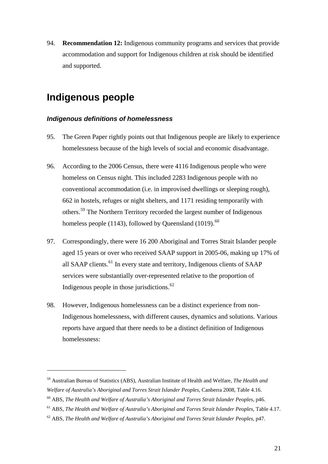<span id="page-20-0"></span>94. **Recommendation 12:** Indigenous community programs and services that provide accommodation and support for Indigenous children at risk should be identified and supported.

## **Indigenous people**

<u>.</u>

#### *Indigenous definitions of homelessness*

- 95. The Green Paper rightly points out that Indigenous people are likely to experience homelessness because of the high levels of social and economic disadvantage.
- 96. According to the 2006 Census, there were 4116 Indigenous people who were homeless on Census night. This included 2283 Indigenous people with no conventional accommodation (i.e. in improvised dwellings or sleeping rough), 662 in hostels, refuges or night shelters, and 1171 residing temporarily with others.[59](#page-20-1) The Northern Territory recorded the largest number of Indigenous homeless people (1143), followed by Queensland (1019). $^{60}$  $^{60}$  $^{60}$
- 97. Correspondingly, there were 16 200 Aboriginal and Torres Strait Islander people aged 15 years or over who received SAAP support in 2005-06, making up 17% of all SAAP clients.<sup>[61](#page-20-3)</sup> In every state and territory, Indigenous clients of SAAP services were substantially over-represented relative to the proportion of Indigenous people in those jurisdictions. $62$
- 98. However, Indigenous homelessness can be a distinct experience from non-Indigenous homelessness, with different causes, dynamics and solutions. Various reports have argued that there needs to be a distinct definition of Indigenous homelessness:

<span id="page-20-1"></span><sup>59</sup> Australian Bureau of Statistics (ABS), Australian Institute of Health and Welfare, *The Health and Welfare of Australia's Aboriginal and Torres Strait Islander Peoples*, Canberra 2008, Table 4.16.

<span id="page-20-2"></span><sup>60</sup> ABS, *The Health and Welfare of Australia's Aboriginal and Torres Strait Islander Peoples*, p46.

<span id="page-20-3"></span><sup>61</sup> ABS, *The Health and Welfare of Australia's Aboriginal and Torres Strait Islander Peoples*, Table 4.17.

<span id="page-20-4"></span><sup>62</sup> ABS, *The Health and Welfare of Australia's Aboriginal and Torres Strait Islander Peoples*, p47.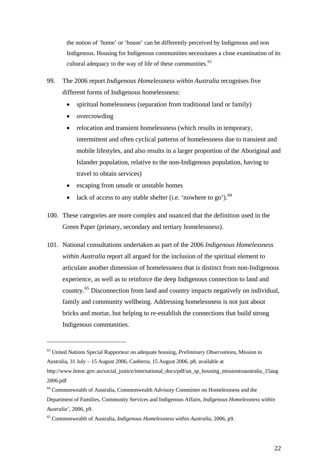the notion of 'home' or 'house' can be differently perceived by Indigenous and non Indigenous. Housing for Indigenous communities necessitates a close examination of its cultural adequacy to the way of life of these communities.<sup>[63](#page-21-0)</sup>

- 99. The 2006 report *Indigenous Homelessness within Australia* recognises five different forms of Indigenous homelessness:
	- spiritual homelessness (separation from traditional land or family)
	- overcrowding

1

- relocation and transient homelessness (which results in temporary, intermittent and often cyclical patterns of homelessness due to transient and mobile lifestyles, and also results in a larger proportion of the Aboriginal and Islander population, relative to the non-Indigenous population, having to travel to obtain services)
- escaping from unsafe or unstable homes
- lack of access to any stable shelter (i.e. 'nowhere to go').  $64$
- 100. These categories are more complex and nuanced that the definition used in the Green Paper (primary, secondary and tertiary homelessness).
- 101. National consultations undertaken as part of the 2006 *Indigenous Homelessness within Australia* report all argued for the inclusion of the spiritual element to articulate another dimension of homelessness that is distinct from non-Indigenous experience, as well as to reinforce the deep Indigenous connection to land and country.[65](#page-21-2) Disconnection from land and country impacts negatively on individual, family and community wellbeing. Addressing homelessness is not just about bricks and mortar, but helping to re-establish the connections that build strong Indigenous communities.

<span id="page-21-0"></span><sup>63</sup> United Nations Special Rapporteur on adequate housing, *Preliminary Observations*, Mission to Australia, 31 July – 15 August 2006, Canberra, 15 August 2006, p8, available at

[http://www.hreoc.gov.au/social\\_justice/international\\_docs/pdf/un\\_sp\\_housing\\_missiontoaustralia\\_15aug](http://www.hreoc.gov.au/social_justice/international_docs/pdf/un_sp_housing_missiontoaustralia_15aug2006.pdf) [2006.pdf](http://www.hreoc.gov.au/social_justice/international_docs/pdf/un_sp_housing_missiontoaustralia_15aug2006.pdf) 

<span id="page-21-1"></span><sup>64</sup> Commonwealth of Australia, Commonwealth Advisory Committee on Homelessness and the Department of Families, Community Services and Indigenous Affairs, *Indigenous Homelessness within Australia'*, 2006, p9.

<span id="page-21-2"></span><sup>65</sup> Commonwealth of Australia, *Indigenous Homelessness within Australia*, 2006, p9.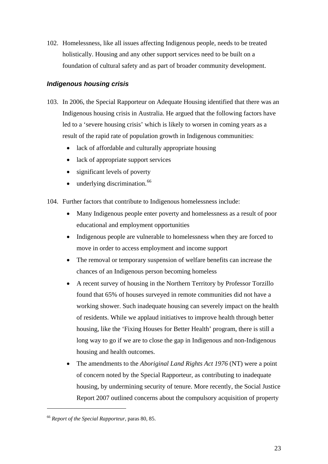<span id="page-22-0"></span>102. Homelessness, like all issues affecting Indigenous people, needs to be treated holistically. Housing and any other support services need to be built on a foundation of cultural safety and as part of broader community development.

#### *Indigenous housing crisis*

- 103. In 2006, the Special Rapporteur on Adequate Housing identified that there was an Indigenous housing crisis in Australia. He argued that the following factors have led to a 'severe housing crisis' which is likely to worsen in coming years as a result of the rapid rate of population growth in Indigenous communities:
	- lack of affordable and culturally appropriate housing
	- lack of appropriate support services
	- significant levels of poverty
	- $\bullet$  underlying discrimination.<sup>[66](#page-22-1)</sup>
- 104. Further factors that contribute to Indigenous homelessness include:
	- Many Indigenous people enter poverty and homelessness as a result of poor educational and employment opportunities
	- Indigenous people are vulnerable to homelessness when they are forced to move in order to access employment and income support
	- The removal or temporary suspension of welfare benefits can increase the chances of an Indigenous person becoming homeless
	- A recent survey of housing in the Northern Territory by Professor Torzillo found that 65% of houses surveyed in remote communities did not have a working shower. Such inadequate housing can severely impact on the health of residents. While we applaud initiatives to improve health through better housing, like the 'Fixing Houses for Better Health' program, there is still a long way to go if we are to close the gap in Indigenous and non-Indigenous housing and health outcomes.
	- The amendments to the *Aboriginal Land Rights Act 1976* (NT) were a point of concern noted by the Special Rapporteur, as contributing to inadequate housing, by undermining security of tenure. More recently, the Social Justice Report 2007 outlined concerns about the compulsory acquisition of property

<span id="page-22-1"></span><sup>66</sup> *Report of the Special Rapporteur*, paras 80, 85.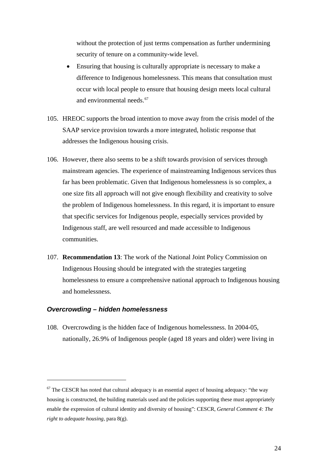<span id="page-23-0"></span>without the protection of just terms compensation as further undermining security of tenure on a community-wide level.

- Ensuring that housing is culturally appropriate is necessary to make a difference to Indigenous homelessness. This means that consultation must occur with local people to ensure that housing design meets local cultural and environmental needs.<sup>[67](#page-23-1)</sup>
- 105. HREOC supports the broad intention to move away from the crisis model of the SAAP service provision towards a more integrated, holistic response that addresses the Indigenous housing crisis.
- 106. However, there also seems to be a shift towards provision of services through mainstream agencies. The experience of mainstreaming Indigenous services thus far has been problematic. Given that Indigenous homelessness is so complex, a one size fits all approach will not give enough flexibility and creativity to solve the problem of Indigenous homelessness. In this regard, it is important to ensure that specific services for Indigenous people, especially services provided by Indigenous staff, are well resourced and made accessible to Indigenous communities.
- 107. **Recommendation 13**: The work of the National Joint Policy Commission on Indigenous Housing should be integrated with the strategies targeting homelessness to ensure a comprehensive national approach to Indigenous housing and homelessness.

#### *Overcrowding – hidden homelessness*

<u>.</u>

108. Overcrowding is the hidden face of Indigenous homelessness. In 2004-05, nationally, 26.9% of Indigenous people (aged 18 years and older) were living in

<span id="page-23-1"></span> $67$  The CESCR has noted that cultural adequacy is an essential aspect of housing adequacy: "the way housing is constructed, the building materials used and the policies supporting these must appropriately enable the expression of cultural identity and diversity of housing": CESCR, *General Comment 4: The right to adequate housing,* para 8(g).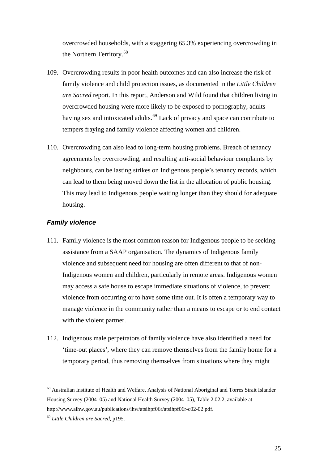<span id="page-24-0"></span>overcrowded households, with a staggering 65.3% experiencing overcrowding in the Northern Territory.<sup>68</sup>

- 109. Overcrowding results in poor health outcomes and can also increase the risk of family violence and child protection issues, as documented in the *Little Children are Sacred* report. In this report, Anderson and Wild found that children living in overcrowded housing were more likely to be exposed to pornography, adults having sex and intoxicated adults.<sup>[69](#page-24-1)</sup> Lack of privacy and space can contribute to tempers fraying and family violence affecting women and children.
- 110. Overcrowding can also lead to long-term housing problems. Breach of tenancy agreements by overcrowding, and resulting anti-social behaviour complaints by neighbours, can be lasting strikes on Indigenous people's tenancy records, which can lead to them being moved down the list in the allocation of public housing. This may lead to Indigenous people waiting longer than they should for adequate housing.

#### *Family violence*

- 111. Family violence is the most common reason for Indigenous people to be seeking assistance from a SAAP organisation. The dynamics of Indigenous family violence and subsequent need for housing are often different to that of non-Indigenous women and children, particularly in remote areas. Indigenous women may access a safe house to escape immediate situations of violence, to prevent violence from occurring or to have some time out. It is often a temporary way to manage violence in the community rather than a means to escape or to end contact with the violent partner.
- 112. Indigenous male perpetrators of family violence have also identified a need for 'time-out places', where they can remove themselves from the family home for a temporary period, thus removing themselves from situations where they might

<sup>68</sup> Australian Institute of Health and Welfare, Analysis of National Aboriginal and Torres Strait Islander Housing Survey (2004–05) and National Health Survey (2004–05), Table 2.02.2, available at <http://www.aihw.gov.au/publications/ihw/atsihpf06r/atsihpf06r-c02-02.pdf>.

<span id="page-24-1"></span><sup>69</sup> *Little Children are Sacred*, p195.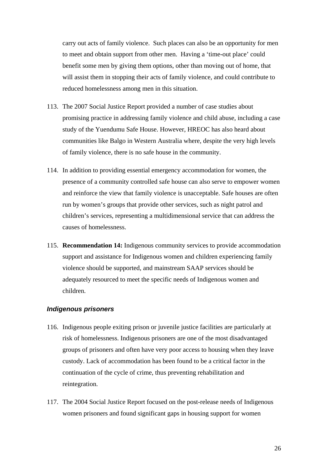<span id="page-25-0"></span>carry out acts of family violence. Such places can also be an opportunity for men to meet and obtain support from other men. Having a 'time-out place' could benefit some men by giving them options, other than moving out of home, that will assist them in stopping their acts of family violence, and could contribute to reduced homelessness among men in this situation.

- 113. The 2007 Social Justice Report provided a number of case studies about promising practice in addressing family violence and child abuse, including a case study of the Yuendumu Safe House. However, HREOC has also heard about communities like Balgo in Western Australia where, despite the very high levels of family violence, there is no safe house in the community.
- 114. In addition to providing essential emergency accommodation for women, the presence of a community controlled safe house can also serve to empower women and reinforce the view that family violence is unacceptable. Safe houses are often run by women's groups that provide other services, such as night patrol and children's services, representing a multidimensional service that can address the causes of homelessness.
- 115. **Recommendation 14:** Indigenous community services to provide accommodation support and assistance for Indigenous women and children experiencing family violence should be supported, and mainstream SAAP services should be adequately resourced to meet the specific needs of Indigenous women and children.

#### *Indigenous prisoners*

- 116. Indigenous people exiting prison or juvenile justice facilities are particularly at risk of homelessness. Indigenous prisoners are one of the most disadvantaged groups of prisoners and often have very poor access to housing when they leave custody. Lack of accommodation has been found to be a critical factor in the continuation of the cycle of crime, thus preventing rehabilitation and reintegration.
- 117. The 2004 Social Justice Report focused on the post-release needs of Indigenous women prisoners and found significant gaps in housing support for women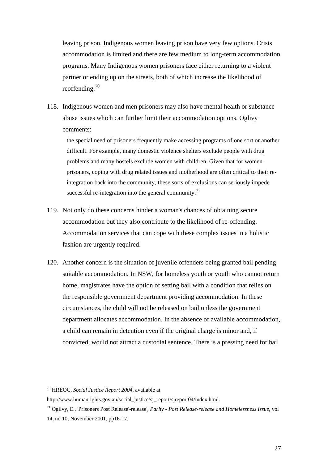leaving prison. Indigenous women leaving prison have very few options. Crisis accommodation is limited and there are few medium to long-term accommodation programs. Many Indigenous women prisoners face either returning to a violent partner or ending up on the streets, both of which increase the likelihood of reoffending. $70$ 

118. Indigenous women and men prisoners may also have mental health or substance abuse issues which can further limit their accommodation options. Oglivy comments:

the special need of prisoners frequently make accessing programs of one sort or another difficult. For example, many domestic violence shelters exclude people with drug problems and many hostels exclude women with children. Given that for women prisoners, coping with drug related issues and motherhood are often critical to their reintegration back into the community, these sorts of exclusions can seriously impede successful re-integration into the general community.<sup>[71](#page-26-0)</sup>

- 119. Not only do these concerns hinder a woman's chances of obtaining secure accommodation but they also contribute to the likelihood of re-offending. Accommodation services that can cope with these complex issues in a holistic fashion are urgently required.
- 120. Another concern is the situation of juvenile offenders being granted bail pending suitable accommodation. In NSW, for homeless youth or youth who cannot return home, magistrates have the option of setting bail with a condition that relies on the responsible government department providing accommodation. In these circumstances, the child will not be released on bail unless the government department allocates accommodation. In the absence of available accommodation, a child can remain in detention even if the original charge is minor and, if convicted, would not attract a custodial sentence. There is a pressing need for bail

<sup>70</sup> HREOC, *Social Justice Report 2004*, available at

http://www.humanrights.gov.au/social\_justice/sj\_report/sjreport04/index.html.

<span id="page-26-0"></span><sup>71</sup> Ogilvy, E., 'Prisoners Post Release'-release', *Parity - Post Release-release and Homelessness Issue*, vol 14, no 10, November 2001, pp16-17.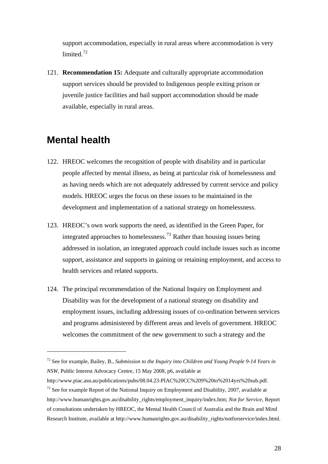<span id="page-27-0"></span>support accommodation, especially in rural areas where accommodation is very limited.<sup>72</sup>

121. **Recommendation 15:** Adequate and culturally appropriate accommodation support services should be provided to Indigenous people exiting prison or juvenile justice facilities and bail support accommodation should be made available, especially in rural areas.

### **Mental health**

- 122. HREOC welcomes the recognition of people with disability and in particular people affected by mental illness, as being at particular risk of homelessness and as having needs which are not adequately addressed by current service and policy models. HREOC urges the focus on these issues to be maintained in the development and implementation of a national strategy on homelessness.
- 123. HREOC's own work supports the need, as identified in the Green Paper, for integrated approaches to homelessness.<sup>[73](#page-27-1)</sup> Rather than housing issues being addressed in isolation, an integrated approach could include issues such as income support, assistance and supports in gaining or retaining employment, and access to health services and related supports.
- 124. The principal recommendation of the National Inquiry on Employment and Disability was for the development of a national strategy on disability and employment issues, including addressing issues of co-ordination between services and programs administered by different areas and levels of government. HREOC welcomes the commitment of the new government to such a strategy and the

<sup>72</sup> See for example, Bailey, B., *Submission to the Inquiry into Children and Young People 9-14 Years in NSW*, Public Interest Advocacy Centre, 15 May 2008, p6, available at

<span id="page-27-1"></span>http://www.piac.asn.au/publications/pubs/08.04.23-PIAC%20CC%209%20to%2014yrs%20sub.pdf. <sup>73</sup> See for example Report of the National Inquiry on Employment and Disability, 2007, available at http://www.humanrights.gov.au/disability\_rights/employment\_inquiry/index.htm; *Not for Service*, Report of consultations undertaken by HREOC, the Mental Health Council of Australia and the Brain and Mind Research Institute, available at http://www.humanrights.gov.au/disability\_rights/notforservice/index.html.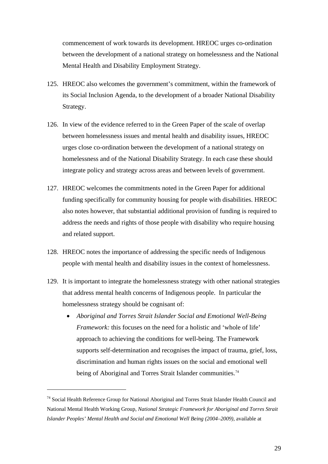commencement of work towards its development. HREOC urges co-ordination between the development of a national strategy on homelessness and the National Mental Health and Disability Employment Strategy.

- 125. HREOC also welcomes the government's commitment, within the framework of its Social Inclusion Agenda, to the development of a broader National Disability Strategy.
- 126. In view of the evidence referred to in the Green Paper of the scale of overlap between homelessness issues and mental health and disability issues, HREOC urges close co-ordination between the development of a national strategy on homelessness and of the National Disability Strategy. In each case these should integrate policy and strategy across areas and between levels of government.
- 127. HREOC welcomes the commitments noted in the Green Paper for additional funding specifically for community housing for people with disabilities. HREOC also notes however, that substantial additional provision of funding is required to address the needs and rights of those people with disability who require housing and related support.
- 128. HREOC notes the importance of addressing the specific needs of Indigenous people with mental health and disability issues in the context of homelessness.
- 129. It is important to integrate the homelessness strategy with other national strategies that address mental health concerns of Indigenous people. In particular the homelessness strategy should be cognisant of:
	- *Aboriginal and Torres Strait Islander Social and Emotional Well-Being Framework:* this focuses on the need for a holistic and 'whole of life' approach to achieving the conditions for well-being. The Framework supports self-determination and recognises the impact of trauma, grief, loss, discrimination and human rights issues on the social and emotional well being of Aboriginal and Torres Strait Islander communities.<sup>[74](#page-28-0)</sup>

<span id="page-28-0"></span><sup>&</sup>lt;sup>74</sup> Social Health Reference Group for National Aboriginal and Torres Strait Islander Health Council and National Mental Health Working Group, *National Strategic Framework for Aboriginal and Torres Strait Islander Peoples' Mental Health and Social and Emotional Well Being (2004–2009)*, available at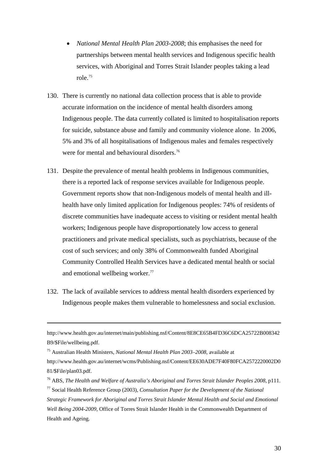- *National Mental Health Plan 2003-2008*; this emphasises the need for partnerships between mental health services and Indigenous specific health services, with Aboriginal and Torres Strait Islander peoples taking a lead role.[75](#page-29-0)
- 130. There is currently no national data collection process that is able to provide accurate information on the incidence of mental health disorders among Indigenous people. The data currently collated is limited to hospitalisation reports for suicide, substance abuse and family and community violence alone. In 2006, 5% and 3% of all hospitalisations of Indigenous males and females respectively were for mental and behavioural disorders.<sup>[76](#page-29-1)</sup>
- 131. Despite the prevalence of mental health problems in Indigenous communities, there is a reported lack of response services available for Indigenous people. Government reports show that non-Indigenous models of mental health and illhealth have only limited application for Indigenous peoples: 74% of residents of discrete communities have inadequate access to visiting or resident mental health workers; Indigenous people have disproportionately low access to general practitioners and private medical specialists, such as psychiatrists, because of the cost of such services; and only 38% of Commonwealth funded Aboriginal Community Controlled Health Services have a dedicated mental health or social and emotional wellbeing worker.<sup>[77](#page-29-2)</sup>
- 132. The lack of available services to address mental health disorders experienced by Indigenous people makes them vulnerable to homelessness and social exclusion.

1

[http://www.health.gov.au/internet/main/publishing.nsf/Content/8E8CE65B4FD36C6DCA25722B008342](http://www.health.gov.au/internet/main/publishing.nsf/Content/8E8CE65B4FD36C6DCA25722B008342B9/$File/wellbeing.pdf) [B9/\\$File/wellbeing.pdf](http://www.health.gov.au/internet/main/publishing.nsf/Content/8E8CE65B4FD36C6DCA25722B008342B9/$File/wellbeing.pdf).

<span id="page-29-0"></span><sup>75</sup> Australian Health Ministers, *National Mental Health Plan 2003–2008*, available at

[http://www.health.gov.au/internet/wcms/Publishing.nsf/Content/EE630ADE7F40F80FCA2572220002D0](http://www.health.gov.au/internet/wcms/Publishing.nsf/Content/EE630ADE7F40F80FCA2572220002D081/$File/plan03.pdf) [81/\\$File/plan03.pdf](http://www.health.gov.au/internet/wcms/Publishing.nsf/Content/EE630ADE7F40F80FCA2572220002D081/$File/plan03.pdf).

<span id="page-29-1"></span><sup>76</sup> ABS, *The Health and Welfare of Australia's Aboriginal and Torres Strait Islander Peoples 2008*, p111.

<span id="page-29-2"></span><sup>77</sup> Social Health Reference Group (2003), *Consultation Paper for the Development of the National Strategic Framework for Aboriginal and Torres Strait Islander Mental Health and Social and Emotional Well Being 2004-2009,* Office of Torres Strait Islander Health in the Commonwealth Department of Health and Ageing*.*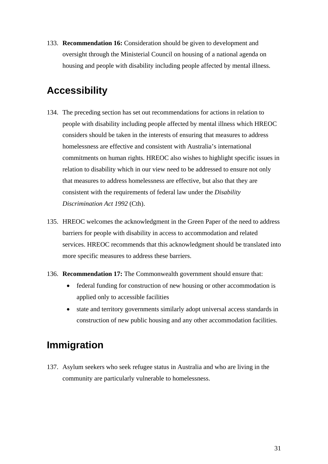<span id="page-30-0"></span>133. **Recommendation 16:** Consideration should be given to development and oversight through the Ministerial Council on housing of a national agenda on housing and people with disability including people affected by mental illness.

## **Accessibility**

- 134. The preceding section has set out recommendations for actions in relation to people with disability including people affected by mental illness which HREOC considers should be taken in the interests of ensuring that measures to address homelessness are effective and consistent with Australia's international commitments on human rights. HREOC also wishes to highlight specific issues in relation to disability which in our view need to be addressed to ensure not only that measures to address homelessness are effective, but also that they are consistent with the requirements of federal law under the *Disability Discrimination Act 1992* (Cth).
- 135. HREOC welcomes the acknowledgment in the Green Paper of the need to address barriers for people with disability in access to accommodation and related services. HREOC recommends that this acknowledgment should be translated into more specific measures to address these barriers.
- 136. **Recommendation 17:** The Commonwealth government should ensure that:
	- federal funding for construction of new housing or other accommodation is applied only to accessible facilities
	- state and territory governments similarly adopt universal access standards in construction of new public housing and any other accommodation facilities.

## **Immigration**

137. Asylum seekers who seek refugee status in Australia and who are living in the community are particularly vulnerable to homelessness.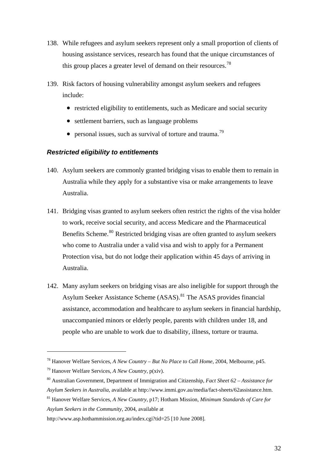- <span id="page-31-0"></span>138. While refugees and asylum seekers represent only a small proportion of clients of housing assistance services, research has found that the unique circumstances of this group places a greater level of demand on their resources.<sup>[78](#page-31-1)</sup>
- 139. Risk factors of housing vulnerability amongst asylum seekers and refugees include:
	- restricted eligibility to entitlements, such as Medicare and social security
	- settlement barriers, such as language problems
	- personal issues, such as survival of torture and trauma.<sup>[79](#page-31-2)</sup>

#### *Restricted eligibility to entitlements*

- 140. Asylum seekers are commonly granted bridging visas to enable them to remain in Australia while they apply for a substantive visa or make arrangements to leave Australia.
- 141. Bridging visas granted to asylum seekers often restrict the rights of the visa holder to work, receive social security, and access Medicare and the Pharmaceutical Benefits Scheme.<sup>[80](#page-31-3)</sup> Restricted bridging visas are often granted to asylum seekers who come to Australia under a valid visa and wish to apply for a Permanent Protection visa, but do not lodge their application within 45 days of arriving in Australia.
- 142. Many asylum seekers on bridging visas are also ineligible for support through the Asylum Seeker Assistance Scheme (ASAS).<sup>[81](#page-31-4)</sup> The ASAS provides financial assistance, accommodation and healthcare to asylum seekers in financial hardship, unaccompanied minors or elderly people, parents with children under 18, and people who are unable to work due to disability, illness, torture or trauma.

<span id="page-31-1"></span><sup>78</sup> Hanover Welfare Services, *A New Country – But No Place to Call Home*, 2004, Melbourne, p45.

<span id="page-31-2"></span><sup>79</sup> Hanover Welfare Services, *A New Country*, p(xiv).

<span id="page-31-3"></span><sup>80</sup> Australian Government, Department of Immigration and Citizenship, *Fact Sheet 62 – Assistance for* 

*Asylum Seekers in Australia*, available at <http://www.immi.gov.au/media/fact-sheets/62assistance.htm>.

<span id="page-31-4"></span><sup>81</sup> Hanover Welfare Services, *A New Country*, p17; Hotham Mission, *Minimum Standards of Care for Asylum Seekers in the Community*, 2004, available at

<http://www.asp.hothammission.org.au/index.cgi?tid=25> [10 June 2008].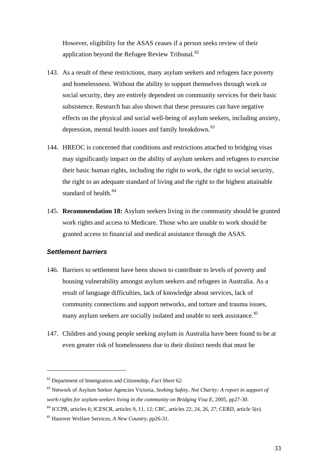<span id="page-32-0"></span>However, eligibility for the ASAS ceases if a person seeks review of their application beyond the Refugee Review Tribunal.<sup>82</sup>

- 143. As a result of these restrictions, many asylum seekers and refugees face poverty and homelessness. Without the ability to support themselves through work or social security, they are entirely dependent on community services for their basic subsistence. Research has also shown that these pressures can have negative effects on the physical and social well-being of asylum seekers, including anxiety, depression, mental health issues and family breakdown.<sup>[83](#page-32-1)</sup>
- 144. HREOC is concerned that conditions and restrictions attached to bridging visas may significantly impact on the ability of asylum seekers and refugees to exercise their basic human rights, including the right to work, the right to social security, the right to an adequate standard of living and the right to the highest attainable standard of health.<sup>[84](#page-32-2)</sup>
- 145. **Recommendation 18:** Asylum seekers living in the community should be granted work rights and access to Medicare. Those who are unable to work should be granted access to financial and medical assistance through the ASAS.

#### *Settlement barriers*

- 146. Barriers to settlement have been shown to contribute to levels of poverty and housing vulnerability amongst asylum seekers and refugees in Australia. As a result of language difficulties, lack of knowledge about services, lack of community connections and support networks, and torture and trauma issues, many asylum seekers are socially isolated and unable to seek assistance.<sup>[85](#page-32-3)</sup>
- 147. Children and young people seeking asylum in Australia have been found to be at even greater risk of homelessness due to their distinct needs that must be

<sup>82</sup> Department of Immigration and Citizenship, *Fact Sheet 62*.

<span id="page-32-1"></span><sup>83</sup> Network of Asylum Seeker Agencies Victoria, *Seeking Safety, Not Charity: A report in support of work-rights for asylum-seekers living in the community on Bridging Visa E*, 2005, pp27-30.

<span id="page-32-2"></span><sup>84</sup> ICCPR, articles 6; ICESCR, articles 9, 11, 12; CRC, articles 22, 24, 26, 27; CERD, article 5(e).

<span id="page-32-3"></span><sup>85</sup> Hanover Welfare Services, *A New Country*, pp26-31.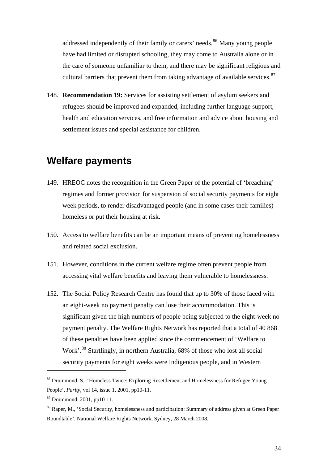<span id="page-33-0"></span>addressed independently of their family or carers' needs.<sup>86</sup> Many young people have had limited or disrupted schooling, they may come to Australia alone or in the care of someone unfamiliar to them, and there may be significant religious and cultural barriers that prevent them from taking advantage of available services. $87$ 

148. **Recommendation 19:** Services for assisting settlement of asylum seekers and refugees should be improved and expanded, including further language support, health and education services, and free information and advice about housing and settlement issues and special assistance for children.

### **Welfare payments**

- 149. HREOC notes the recognition in the Green Paper of the potential of 'breaching' regimes and former provision for suspension of social security payments for eight week periods, to render disadvantaged people (and in some cases their families) homeless or put their housing at risk.
- 150. Access to welfare benefits can be an important means of preventing homelessness and related social exclusion.
- 151. However, conditions in the current welfare regime often prevent people from accessing vital welfare benefits and leaving them vulnerable to homelessness.
- 152. The Social Policy Research Centre has found that up to 30% of those faced with an eight-week no payment penalty can lose their accommodation. This is significant given the high numbers of people being subjected to the eight-week no payment penalty. The Welfare Rights Network has reported that a total of 40 868 of these penalties have been applied since the commencement of 'Welfare to Work'.[88](#page-33-1) Startlingly, in northern Australia, 68% of those who lost all social security payments for eight weeks were Indigenous people, and in Western

<sup>86</sup> Drummond, S., 'Homeless Twice: Exploring Resettlement and Homelessness for Refugee Young People', *Parity*, vol 14, issue 1, 2001, pp10-11.

<sup>87</sup> Drummond, 2001, pp10-11.

<span id="page-33-1"></span><sup>&</sup>lt;sup>88</sup> Raper, M., 'Social Security, homelessness and participation: Summary of address given at Green Paper Roundtable', National Welfare Rights Network, Sydney, 28 March 2008.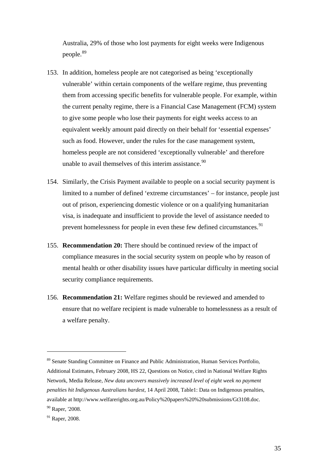Australia, 29% of those who lost payments for eight weeks were Indigenous people.<sup>89</sup>

- 153. In addition, homeless people are not categorised as being 'exceptionally vulnerable' within certain components of the welfare regime, thus preventing them from accessing specific benefits for vulnerable people. For example, within the current penalty regime, there is a Financial Case Management (FCM) system to give some people who lose their payments for eight weeks access to an equivalent weekly amount paid directly on their behalf for 'essential expenses' such as food. However, under the rules for the case management system, homeless people are not considered 'exceptionally vulnerable' and therefore unable to avail themselves of this interim assistance.  $90$
- 154. Similarly, the Crisis Payment available to people on a social security payment is limited to a number of defined 'extreme circumstances' – for instance, people just out of prison, experiencing domestic violence or on a qualifying humanitarian visa, is inadequate and insufficient to provide the level of assistance needed to prevent homelessness for people in even these few defined circumstances.<sup>[91](#page-34-1)</sup>
- 155. **Recommendation 20:** There should be continued review of the impact of compliance measures in the social security system on people who by reason of mental health or other disability issues have particular difficulty in meeting social security compliance requirements.
- 156. **Recommendation 21:** Welfare regimes should be reviewed and amended to ensure that no welfare recipient is made vulnerable to homelessness as a result of a welfare penalty.

<sup>89</sup> Senate Standing Committee on Finance and Public Administration, Human Services Portfolio, Additional Estimates, February 2008, HS 22, Questions on Notice, cited in National Welfare Rights Network, Media Release, *New data uncovers massively increased level of eight week no payment penalties hit Indigenous Australians hardest*, 14 April 2008, Table1: Data on Indigenous penalties, available at [http://www.welfarerights.org.au/Policy%20papers%20%20submissions/Gt3108.doc.](http://www.welfarerights.org.au/Policy%20papers%20%20submissions/Gt3108.doc) 90 Raper, '2008.

<span id="page-34-1"></span><span id="page-34-0"></span><sup>&</sup>lt;sup>91</sup> Raper, 2008.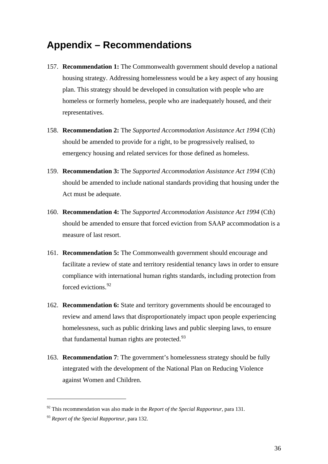## <span id="page-35-0"></span>**Appendix – Recommendations**

- 157. **Recommendation 1:** The Commonwealth government should develop a national housing strategy. Addressing homelessness would be a key aspect of any housing plan. This strategy should be developed in consultation with people who are homeless or formerly homeless, people who are inadequately housed, and their representatives.
- 158. **Recommendation 2:** The *Supported Accommodation Assistance Act 1994* (Cth) should be amended to provide for a right, to be progressively realised, to emergency housing and related services for those defined as homeless.
- 159. **Recommendation 3:** The *Supported Accommodation Assistance Act 1994* (Cth) should be amended to include national standards providing that housing under the Act must be adequate.
- 160. **Recommendation 4:** The *Supported Accommodation Assistance Act 1994* (Cth) should be amended to ensure that forced eviction from SAAP accommodation is a measure of last resort.
- 161. **Recommendation 5:** The Commonwealth government should encourage and facilitate a review of state and territory residential tenancy laws in order to ensure compliance with international human rights standards, including protection from forced evictions.<sup>[92](#page-35-1)</sup>
- 162. **Recommendation 6:** State and territory governments should be encouraged to review and amend laws that disproportionately impact upon people experiencing homelessness, such as public drinking laws and public sleeping laws, to ensure that fundamental human rights are protected. $93$
- 163. **Recommendation 7**: The government's homelessness strategy should be fully integrated with the development of the National Plan on Reducing Violence against Women and Children.

<span id="page-35-1"></span><sup>92</sup> This recommendation was also made in the *Report of the Special Rapporteur*, para 131.

<span id="page-35-2"></span><sup>93</sup> *Report of the Special Rapporteur*, para 132.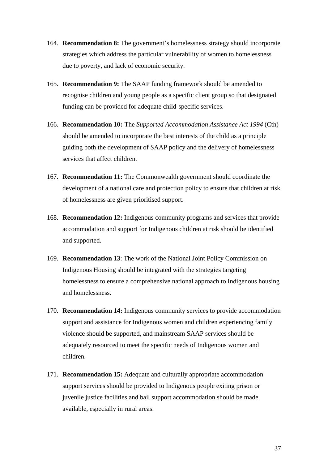- 164. **Recommendation 8:** The government's homelessness strategy should incorporate strategies which address the particular vulnerability of women to homelessness due to poverty, and lack of economic security.
- 165. **Recommendation 9:** The SAAP funding framework should be amended to recognise children and young people as a specific client group so that designated funding can be provided for adequate child-specific services.
- 166. **Recommendation 10:** The *Supported Accommodation Assistance Act 1994* (Cth) should be amended to incorporate the best interests of the child as a principle guiding both the development of SAAP policy and the delivery of homelessness services that affect children.
- 167. **Recommendation 11:** The Commonwealth government should coordinate the development of a national care and protection policy to ensure that children at risk of homelessness are given prioritised support.
- 168. **Recommendation 12:** Indigenous community programs and services that provide accommodation and support for Indigenous children at risk should be identified and supported.
- 169. **Recommendation 13**: The work of the National Joint Policy Commission on Indigenous Housing should be integrated with the strategies targeting homelessness to ensure a comprehensive national approach to Indigenous housing and homelessness.
- 170. **Recommendation 14:** Indigenous community services to provide accommodation support and assistance for Indigenous women and children experiencing family violence should be supported, and mainstream SAAP services should be adequately resourced to meet the specific needs of Indigenous women and children.
- 171. **Recommendation 15:** Adequate and culturally appropriate accommodation support services should be provided to Indigenous people exiting prison or juvenile justice facilities and bail support accommodation should be made available, especially in rural areas.